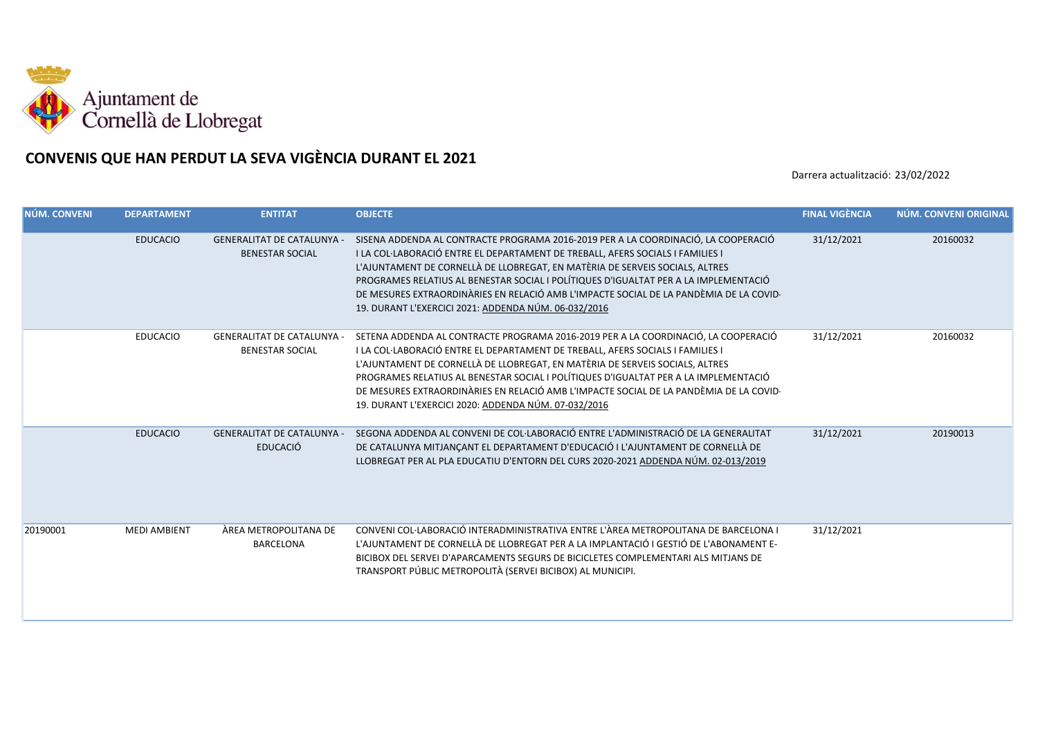

## **CONVENIS QUE HAN PERDUT LA SEVA VIGÈNCIA DURANT EL 2021**

Darrera actualització: 23/02/2022

| NÚM. CONVENI | <b>DEPARTAMENT</b>  | <b>ENTITAT</b>                                              | <b>OBJECTE</b>                                                                                                                                                                                                                                                                                                                                                                                                                                                                                 | <b>FINAL VIGÈNCIA</b> | NÚM. CONVENI ORIGINAL |
|--------------|---------------------|-------------------------------------------------------------|------------------------------------------------------------------------------------------------------------------------------------------------------------------------------------------------------------------------------------------------------------------------------------------------------------------------------------------------------------------------------------------------------------------------------------------------------------------------------------------------|-----------------------|-----------------------|
|              | <b>EDUCACIO</b>     | <b>GENERALITAT DE CATALUNYA -</b><br><b>BENESTAR SOCIAL</b> | SISENA ADDENDA AL CONTRACTE PROGRAMA 2016-2019 PER A LA COORDINACIÓ, LA COOPERACIÓ<br>I LA COL·LABORACIÓ ENTRE EL DEPARTAMENT DE TREBALL, AFERS SOCIALS I FAMILIES I<br>L'AJUNTAMENT DE CORNELLÀ DE LLOBREGAT, EN MATÈRIA DE SERVEIS SOCIALS, ALTRES<br>PROGRAMES RELATIUS AL BENESTAR SOCIAL I POLÍTIQUES D'IGUALTAT PER A LA IMPLEMENTACIÓ<br>DE MESURES EXTRAORDINÀRIES EN RELACIÓ AMB L'IMPACTE SOCIAL DE LA PANDÈMIA DE LA COVID-<br>19. DURANT L'EXERCICI 2021: ADDENDA NÚM. 06-032/2016 | 31/12/2021            | 20160032              |
|              | <b>EDUCACIO</b>     | <b>GENERALITAT DE CATALUNYA -</b><br><b>BENESTAR SOCIAL</b> | SETENA ADDENDA AL CONTRACTE PROGRAMA 2016-2019 PER A LA COORDINACIÓ, LA COOPERACIÓ<br>I LA COL·LABORACIÓ ENTRE EL DEPARTAMENT DE TREBALL, AFERS SOCIALS I FAMILIES I<br>L'AJUNTAMENT DE CORNELLÀ DE LLOBREGAT, EN MATÈRIA DE SERVEIS SOCIALS, ALTRES<br>PROGRAMES RELATIUS AL BENESTAR SOCIAL I POLÍTIQUES D'IGUALTAT PER A LA IMPLEMENTACIÓ<br>DE MESURES EXTRAORDINÀRIES EN RELACIÓ AMB L'IMPACTE SOCIAL DE LA PANDÈMIA DE LA COVID-<br>19. DURANT L'EXERCICI 2020: ADDENDA NÚM. 07-032/2016 | 31/12/2021            | 20160032              |
|              | <b>EDUCACIO</b>     | <b>GENERALITAT DE CATALUNYA -</b><br><b>EDUCACIÓ</b>        | SEGONA ADDENDA AL CONVENI DE COL·LABORACIÓ ENTRE L'ADMINISTRACIÓ DE LA GENERALITAT<br>DE CATALUNYA MITJANÇANT EL DEPARTAMENT D'EDUCACIÓ I L'AJUNTAMENT DE CORNELLÀ DE<br>LLOBREGAT PER AL PLA EDUCATIU D'ENTORN DEL CURS 2020-2021 ADDENDA NÚM. 02-013/2019                                                                                                                                                                                                                                    | 31/12/2021            | 20190013              |
| 20190001     | <b>MEDI AMBIENT</b> | ÀREA METROPOLITANA DE<br><b>BARCELONA</b>                   | CONVENI COL·LABORACIÓ INTERADMINISTRATIVA ENTRE L'ÀREA METROPOLITANA DE BARCELONA I<br>L'AJUNTAMENT DE CORNELLÀ DE LLOBREGAT PER A LA IMPLANTACIÓ I GESTIÓ DE L'ABONAMENT E-<br>BICIBOX DEL SERVEI D'APARCAMENTS SEGURS DE BICICLETES COMPLEMENTARI ALS MITJANS DE<br>TRANSPORT PÚBLIC METROPOLITÀ (SERVEI BICIBOX) AL MUNICIPI.                                                                                                                                                               | 31/12/2021            |                       |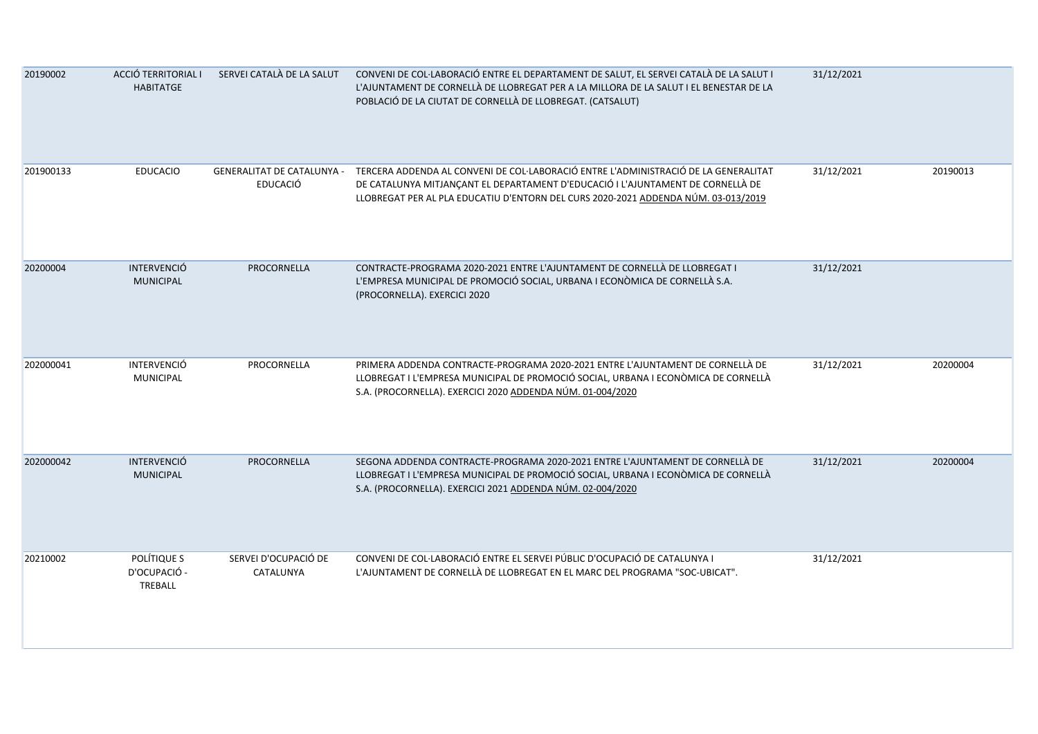| 20190002  | ACCIÓ TERRITORIAL I<br><b>HABITATGE</b> | SERVEI CATALÀ DE LA SALUT         | CONVENI DE COL·LABORACIÓ ENTRE EL DEPARTAMENT DE SALUT, EL SERVEI CATALÀ DE LA SALUT I<br>L'AJUNTAMENT DE CORNELLÀ DE LLOBREGAT PER A LA MILLORA DE LA SALUT I EL BENESTAR DE LA<br>POBLACIÓ DE LA CIUTAT DE CORNELLÀ DE LLOBREGAT. (CATSALUT)                                          | 31/12/2021 |          |
|-----------|-----------------------------------------|-----------------------------------|-----------------------------------------------------------------------------------------------------------------------------------------------------------------------------------------------------------------------------------------------------------------------------------------|------------|----------|
| 201900133 | <b>EDUCACIO</b>                         | <b>EDUCACIÓ</b>                   | GENERALITAT DE CATALUNYA - TERCERA ADDENDA AL CONVENI DE COL·LABORACIÓ ENTRE L'ADMINISTRACIÓ DE LA GENERALITAT<br>DE CATALUNYA MITJANÇANT EL DEPARTAMENT D'EDUCACIÓ I L'AJUNTAMENT DE CORNELLÀ DE<br>LLOBREGAT PER AL PLA EDUCATIU D'ENTORN DEL CURS 2020-2021 ADDENDA NÚM. 03-013/2019 | 31/12/2021 | 20190013 |
| 20200004  | <b>INTERVENCIÓ</b><br><b>MUNICIPAL</b>  | PROCORNELLA                       | CONTRACTE-PROGRAMA 2020-2021 ENTRE L'AJUNTAMENT DE CORNELLÀ DE LLOBREGAT I<br>L'EMPRESA MUNICIPAL DE PROMOCIÓ SOCIAL, URBANA I ECONÒMICA DE CORNELLÀ S.A.<br>(PROCORNELLA). EXERCICI 2020                                                                                               | 31/12/2021 |          |
| 202000041 | <b>INTERVENCIÓ</b><br><b>MUNICIPAL</b>  | PROCORNELLA                       | PRIMERA ADDENDA CONTRACTE-PROGRAMA 2020-2021 ENTRE L'AJUNTAMENT DE CORNELLÀ DE<br>LLOBREGAT I L'EMPRESA MUNICIPAL DE PROMOCIÓ SOCIAL, URBANA I ECONÒMICA DE CORNELLÀ<br>S.A. (PROCORNELLA). EXERCICI 2020 ADDENDA NÚM. 01-004/2020                                                      | 31/12/2021 | 20200004 |
| 202000042 | <b>INTERVENCIÓ</b><br><b>MUNICIPAL</b>  | PROCORNELLA                       | SEGONA ADDENDA CONTRACTE-PROGRAMA 2020-2021 ENTRE L'AJUNTAMENT DE CORNELLÀ DE<br>LLOBREGAT I L'EMPRESA MUNICIPAL DE PROMOCIÓ SOCIAL, URBANA I ECONÒMICA DE CORNELLÀ<br>S.A. (PROCORNELLA). EXERCICI 2021 ADDENDA NÚM. 02-004/2020                                                       | 31/12/2021 | 20200004 |
| 20210002  | POLÍTIQUE S<br>D'OCUPACIÓ -<br>TREBALL  | SERVEI D'OCUPACIÓ DE<br>CATALUNYA | CONVENI DE COL·LABORACIÓ ENTRE EL SERVEI PÚBLIC D'OCUPACIÓ DE CATALUNYA I<br>L'AJUNTAMENT DE CORNELLÀ DE LLOBREGAT EN EL MARC DEL PROGRAMA "SOC-UBICAT".                                                                                                                                | 31/12/2021 |          |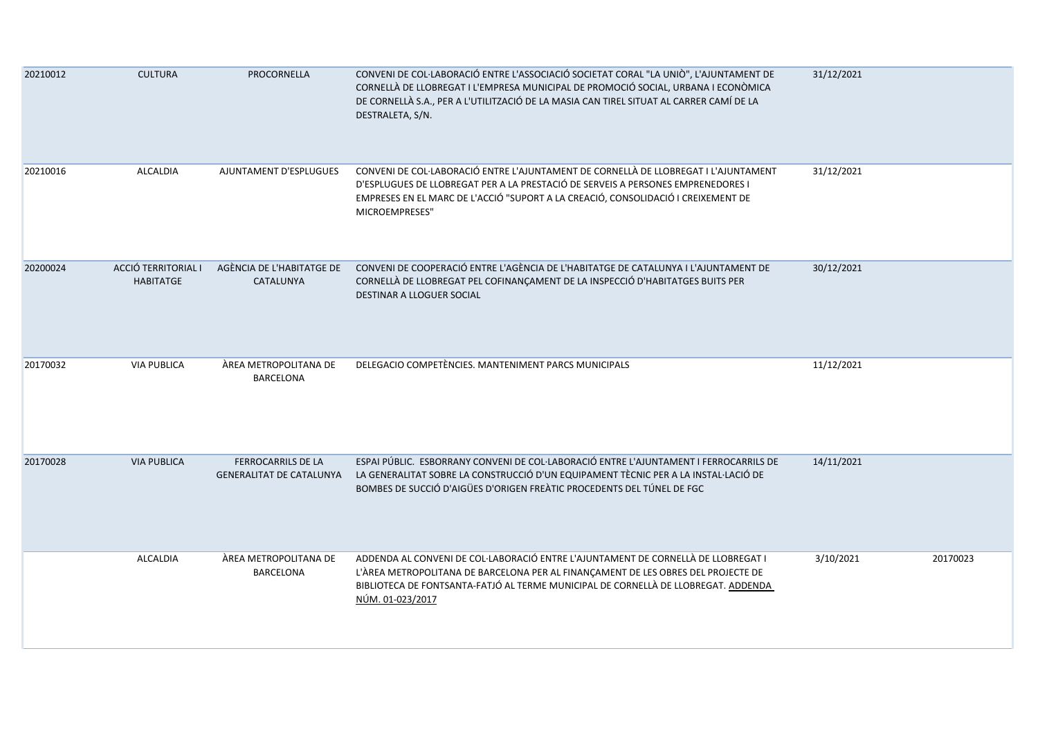| 20210012 | <b>CULTURA</b>                          | PROCORNELLA                                                  | CONVENI DE COL·LABORACIÓ ENTRE L'ASSOCIACIÓ SOCIETAT CORAL "LA UNIÒ", L'AJUNTAMENT DE<br>CORNELLÀ DE LLOBREGAT I L'EMPRESA MUNICIPAL DE PROMOCIÓ SOCIAL, URBANA I ECONÒMICA<br>DE CORNELLÀ S.A., PER A L'UTILITZACIÓ DE LA MASIA CAN TIREL SITUAT AL CARRER CAMÍ DE LA<br>DESTRALETA, S/N. | 31/12/2021 |          |
|----------|-----------------------------------------|--------------------------------------------------------------|--------------------------------------------------------------------------------------------------------------------------------------------------------------------------------------------------------------------------------------------------------------------------------------------|------------|----------|
| 20210016 | ALCALDIA                                | AJUNTAMENT D'ESPLUGUES                                       | CONVENI DE COL·LABORACIÓ ENTRE L'AJUNTAMENT DE CORNELLÀ DE LLOBREGAT I L'AJUNTAMENT<br>D'ESPLUGUES DE LLOBREGAT PER A LA PRESTACIÓ DE SERVEIS A PERSONES EMPRENEDORES I<br>EMPRESES EN EL MARC DE L'ACCIÓ "SUPORT A LA CREACIÓ, CONSOLIDACIÓ I CREIXEMENT DE<br>MICROEMPRESES"             | 31/12/2021 |          |
| 20200024 | ACCIÓ TERRITORIAL I<br><b>HABITATGE</b> | AGÈNCIA DE L'HABITATGE DE<br>CATALUNYA                       | CONVENI DE COOPERACIÓ ENTRE L'AGÈNCIA DE L'HABITATGE DE CATALUNYA I L'AJUNTAMENT DE<br>CORNELLÀ DE LLOBREGAT PEL COFINANÇAMENT DE LA INSPECCIÓ D'HABITATGES BUITS PER<br>DESTINAR A LLOGUER SOCIAL                                                                                         | 30/12/2021 |          |
| 20170032 | <b>VIA PUBLICA</b>                      | ÀREA METROPOLITANA DE<br>BARCELONA                           | DELEGACIO COMPETÈNCIES. MANTENIMENT PARCS MUNICIPALS                                                                                                                                                                                                                                       | 11/12/2021 |          |
| 20170028 | <b>VIA PUBLICA</b>                      | <b>FERROCARRILS DE LA</b><br><b>GENERALITAT DE CATALUNYA</b> | ESPAI PÚBLIC. ESBORRANY CONVENI DE COL·LABORACIÓ ENTRE L'AJUNTAMENT I FERROCARRILS DE<br>LA GENERALITAT SOBRE LA CONSTRUCCIÓ D'UN EQUIPAMENT TÈCNIC PER A LA INSTAL·LACIÓ DE<br>BOMBES DE SUCCIÓ D'AIGÜES D'ORIGEN FREÀTIC PROCEDENTS DEL TÚNEL DE FGC                                     | 14/11/2021 |          |
|          | <b>ALCALDIA</b>                         | ÀREA METROPOLITANA DE<br><b>BARCELONA</b>                    | ADDENDA AL CONVENI DE COL·LABORACIÓ ENTRE L'AJUNTAMENT DE CORNELLÀ DE LLOBREGAT I<br>L'ÀREA METROPOLITANA DE BARCELONA PER AL FINANÇAMENT DE LES OBRES DEL PROJECTE DE<br>BIBLIOTECA DE FONTSANTA-FATJÓ AL TERME MUNICIPAL DE CORNELLÀ DE LLOBREGAT. ADDENDA<br>NÚM. 01-023/2017           | 3/10/2021  | 20170023 |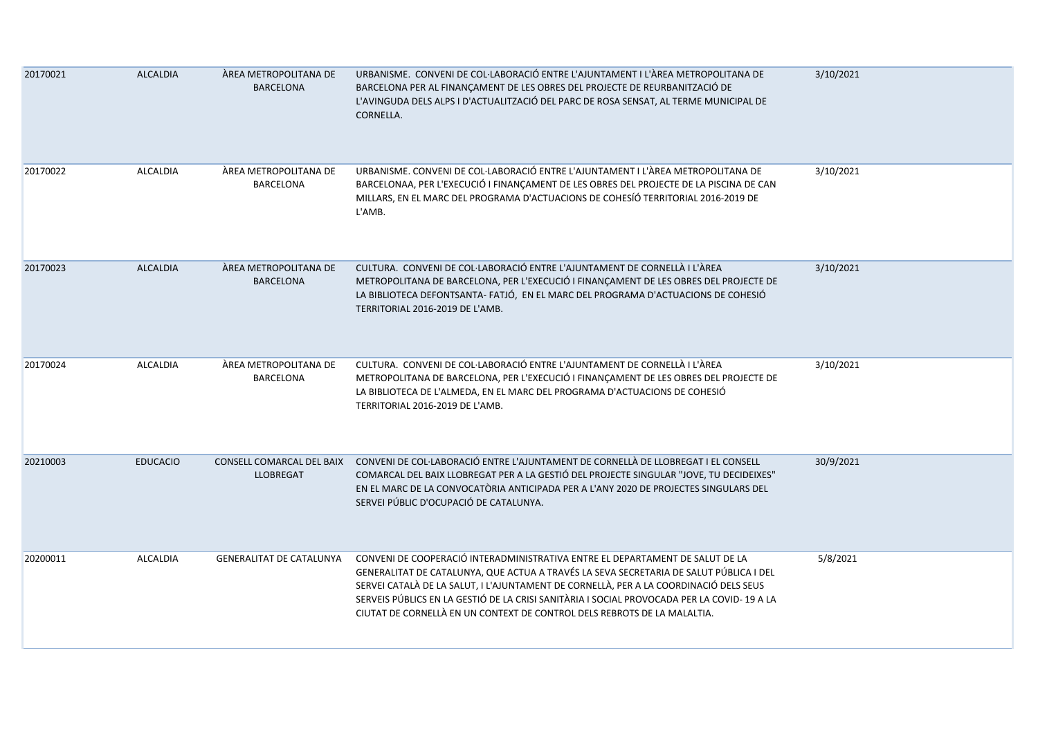| 20170021 | <b>ALCALDIA</b> | ÀREA METROPOLITANA DE<br><b>BARCELONA</b>     | URBANISME. CONVENI DE COL·LABORACIÓ ENTRE L'AJUNTAMENT I L'ÀREA METROPOLITANA DE<br>BARCELONA PER AL FINANÇAMENT DE LES OBRES DEL PROJECTE DE REURBANITZACIÓ DE<br>L'AVINGUDA DELS ALPS I D'ACTUALITZACIÓ DEL PARC DE ROSA SENSAT, AL TERME MUNICIPAL DE<br>CORNELLA.                                                                                                                                                                      | 3/10/2021 |
|----------|-----------------|-----------------------------------------------|--------------------------------------------------------------------------------------------------------------------------------------------------------------------------------------------------------------------------------------------------------------------------------------------------------------------------------------------------------------------------------------------------------------------------------------------|-----------|
| 20170022 | ALCALDIA        | ÀREA METROPOLITANA DE<br><b>BARCELONA</b>     | URBANISME. CONVENI DE COL·LABORACIÓ ENTRE L'AJUNTAMENT I L'ÀREA METROPOLITANA DE<br>BARCELONAA, PER L'EXECUCIÓ I FINANÇAMENT DE LES OBRES DEL PROJECTE DE LA PISCINA DE CAN<br>MILLARS, EN EL MARC DEL PROGRAMA D'ACTUACIONS DE COHESÍÓ TERRITORIAL 2016-2019 DE<br>L'AMB.                                                                                                                                                                 | 3/10/2021 |
| 20170023 | <b>ALCALDIA</b> | ÀREA METROPOLITANA DE<br><b>BARCELONA</b>     | CULTURA. CONVENI DE COL·LABORACIÓ ENTRE L'AJUNTAMENT DE CORNELLÀ I L'ÀREA<br>METROPOLITANA DE BARCELONA, PER L'EXECUCIÓ I FINANÇAMENT DE LES OBRES DEL PROJECTE DE<br>LA BIBLIOTECA DEFONTSANTA- FATJÓ, EN EL MARC DEL PROGRAMA D'ACTUACIONS DE COHESIÓ<br>TERRITORIAL 2016-2019 DE L'AMB.                                                                                                                                                 | 3/10/2021 |
| 20170024 | <b>ALCALDIA</b> | ÀREA METROPOLITANA DE<br>BARCELONA            | CULTURA. CONVENI DE COL·LABORACIÓ ENTRE L'AJUNTAMENT DE CORNELLÀ I L'ÀREA<br>METROPOLITANA DE BARCELONA, PER L'EXECUCIÓ I FINANÇAMENT DE LES OBRES DEL PROJECTE DE<br>LA BIBLIOTECA DE L'ALMEDA, EN EL MARC DEL PROGRAMA D'ACTUACIONS DE COHESIÓ<br>TERRITORIAL 2016-2019 DE L'AMB.                                                                                                                                                        | 3/10/2021 |
| 20210003 | <b>EDUCACIO</b> | CONSELL COMARCAL DEL BAIX<br><b>LLOBREGAT</b> | CONVENI DE COL·LABORACIÓ ENTRE L'AJUNTAMENT DE CORNELLÀ DE LLOBREGAT I EL CONSELL<br>COMARCAL DEL BAIX LLOBREGAT PER A LA GESTIÓ DEL PROJECTE SINGULAR "JOVE, TU DECIDEIXES"<br>EN EL MARC DE LA CONVOCATÒRIA ANTICIPADA PER A L'ANY 2020 DE PROJECTES SINGULARS DEL<br>SERVEI PÚBLIC D'OCUPACIÓ DE CATALUNYA.                                                                                                                             | 30/9/2021 |
| 20200011 | ALCALDIA        | <b>GENERALITAT DE CATALUNYA</b>               | CONVENI DE COOPERACIÓ INTERADMINISTRATIVA ENTRE EL DEPARTAMENT DE SALUT DE LA<br>GENERALITAT DE CATALUNYA, QUE ACTUA A TRAVÉS LA SEVA SECRETARIA DE SALUT PÚBLICA I DEL<br>SERVEI CATALÀ DE LA SALUT, I L'AJUNTAMENT DE CORNELLÀ, PER A LA COORDINACIÓ DELS SEUS<br>SERVEIS PÚBLICS EN LA GESTIÓ DE LA CRISI SANITÀRIA I SOCIAL PROVOCADA PER LA COVID-19 A LA<br>CIUTAT DE CORNELLÀ EN UN CONTEXT DE CONTROL DELS REBROTS DE LA MALALTIA. | 5/8/2021  |